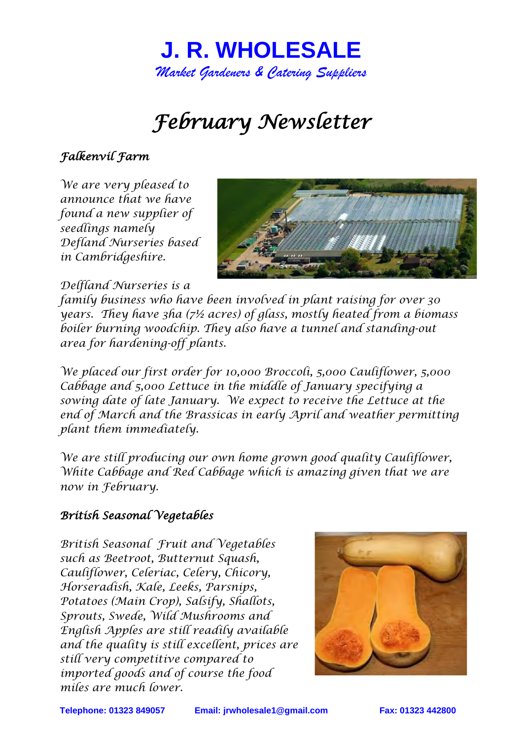

# *February Newsletter*

### *Falkenvil Farm*

*We are very pleased to announce that we have found a new supplier of seedlings namely Defland Nurseries based in Cambridgeshire.* 



*Delfland Nurseries is a* 

*family business who have been involved in plant raising for over 30 years. They have 3ha (7½ acres) of glass, mostly heated from a biomass boiler burning woodchip. They also have a tunnel and standing-out area for hardening-off plants.*

*We placed our first order for 10,000 Broccoli, 5,000 Cauliflower, 5,000 Cabbage and 5,000 Lettuce in the middle of January specifying a sowing date of late January. We expect to receive the Lettuce at the end of March and the Brassicas in early April and weather permitting plant them immediately.* 

*We are still producing our own home grown good quality Cauliflower, White Cabbage and Red Cabbage which is amazing given that we are now in February.* 

#### *British Seasonal Vegetables*

*British Seasonal Fruit and Vegetables such as Beetroot, Butternut Squash, Cauliflower, Celeriac, Celery, Chicory, Horseradish, Kale, Leeks, Parsnips, Potatoes (Main Crop), Salsify, Shallots, Sprouts, Swede, Wild Mushrooms and English Apples are still readily available and the quality is still excellent, prices are still very competitive compared to imported goods and of course the food miles are much lower.* 



**Telephone: 01323 849057 Email: [jrwholesale1@gmail.com](mailto:jrwholesale1@gmail.com) Fax: 01323 442800**